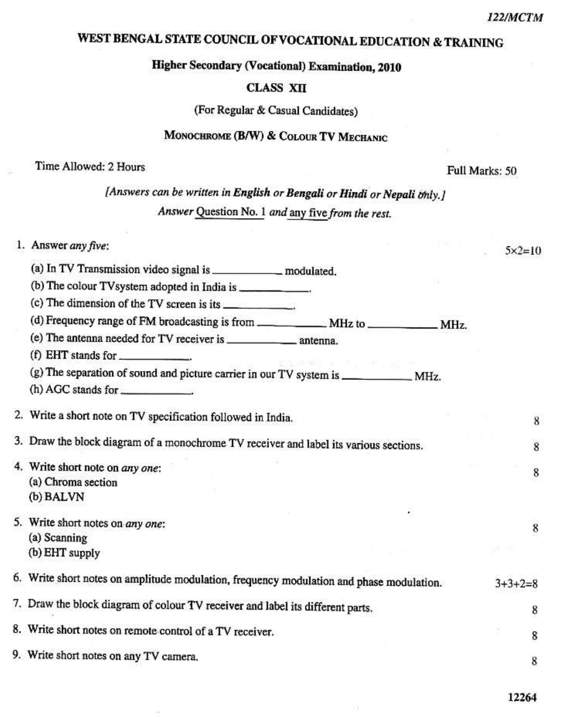$5 \times 2 = 10$ 

8

8

8

8

8

8

## WEST BENGAL STATE COUNCIL OF VOCATIONAL EDUCATION & TRAINING

## **Higher Secondary (Vocational) Examination, 2010**

#### **CLASS XII**

(For Regular & Casual Candidates)

#### MONOCHROME (B/W) & COLOUR TV MECHANIC

#### Time Allowed: 2 Hours

Full Marks: 50

[Answers can be written in English or Bengali or Hindi or Nepali only.] Answer Question No. 1 and any five from the rest.

#### 1. Answer any five:

- (b) The colour TV system adopted in India is \_\_\_\_\_\_\_\_\_\_\_\_\_.
- (c) The dimension of the TV screen is its \_\_\_\_\_\_\_\_\_\_\_.
- 

(f) EHT stands for

 $(h)$  AGC stands for  $\qquad \qquad$ .

2. Write a short note on TV specification followed in India.

3. Draw the block diagram of a monochrome TV receiver and label its various sections.

- 4. Write short note on any one: (a) Chroma section (b) BALVN
- 5. Write short notes on any one: (a) Scanning
	- (b) EHT supply
- 6. Write short notes on amplitude modulation, frequency modulation and phase modulation.  $3+3+2=8$

7. Draw the block diagram of colour TV receiver and label its different parts. 8

8. Write short notes on remote control of a TV receiver.

9. Write short notes on any TV camera.